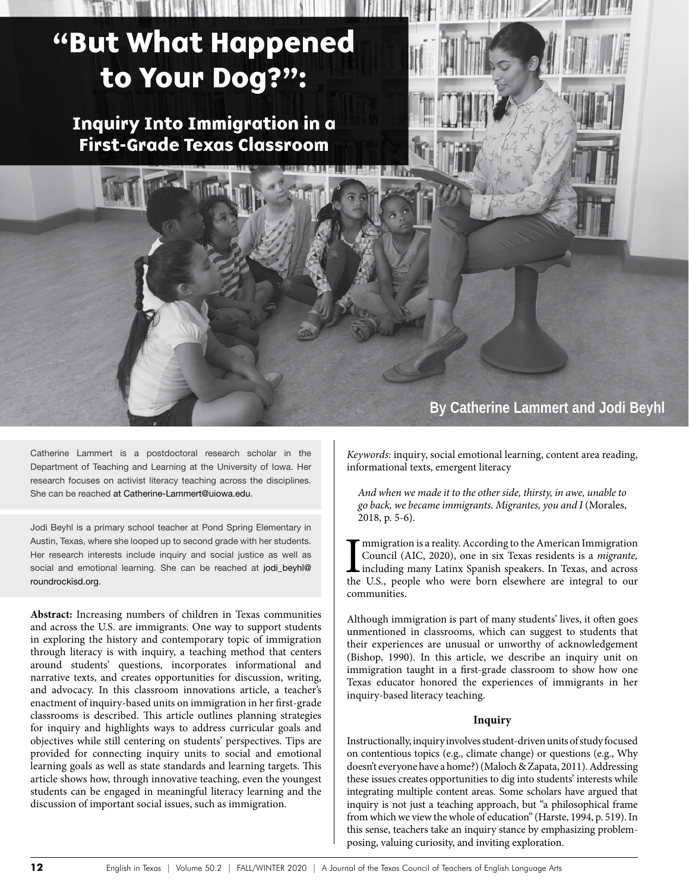# "But What Happened to Your Dog?":

Inquiry Into Immigration in a First-Grade Texas Classroom



Jodi Beyhl is a primary school teacher at Pond Spring Elementary in Austin, Texas, where she looped up to second grade with her students. Her research interests include inquiry and social justice as well as social and emotional learning. She can be reached at jodi\_beyhl@ roundrockisd.org.

**Abstract:** Increasing numbers of children in Texas communities and across the U.S. are immigrants. One way to support students in exploring the history and contemporary topic of immigration through literacy is with inquiry, a teaching method that centers around students' questions, incorporates informational and narrative texts, and creates opportunities for discussion, writing, and advocacy. In this classroom innovations article, a teacher's enactment of inquiry-based units on immigration in her first-grade classrooms is described. This article outlines planning strategies for inquiry and highlights ways to address curricular goals and objectives while still centering on students' perspectives. Tips are provided for connecting inquiry units to social and emotional learning goals as well as state standards and learning targets. This article shows how, through innovative teaching, even the youngest students can be engaged in meaningful literacy learning and the discussion of important social issues, such as immigration.

# **By Catherine Lammert and Jodi Beyhl**

*Keywords:* inquiry, social emotional learning, content area reading, informational texts, emergent literacy

**The Second** 

*And when we made it to the other side, thirsty, in awe, unable to go back, we became immigrants. Migrantes, you and I* (Morales, 2018, p. 5-6).

I<br>the mmigration is a reality. According to the American Immigration Council (AIC, 2020), one in six Texas residents is a *migrante,*  including many Latinx Spanish speakers. In Texas, and across the U.S., people who were born elsewhere are integral to our communities.

Although immigration is part of many students' lives, it often goes unmentioned in classrooms, which can suggest to students that their experiences are unusual or unworthy of acknowledgement (Bishop, 1990). In this article, we describe an inquiry unit on immigration taught in a first-grade classroom to show how one Texas educator honored the experiences of immigrants in her inquiry-based literacy teaching.

### **Inquiry**

Instructionally, inquiry involves student-driven units of study focused on contentious topics (e.g., climate change) or questions (e.g., Why doesn't everyone have a home?) (Maloch & Zapata, 2011). Addressing these issues creates opportunities to dig into students' interests while integrating multiple content areas. Some scholars have argued that inquiry is not just a teaching approach, but "a philosophical frame from which we view the whole of education" (Harste, 1994, p. 519). In this sense, teachers take an inquiry stance by emphasizing problemposing, valuing curiosity, and inviting exploration.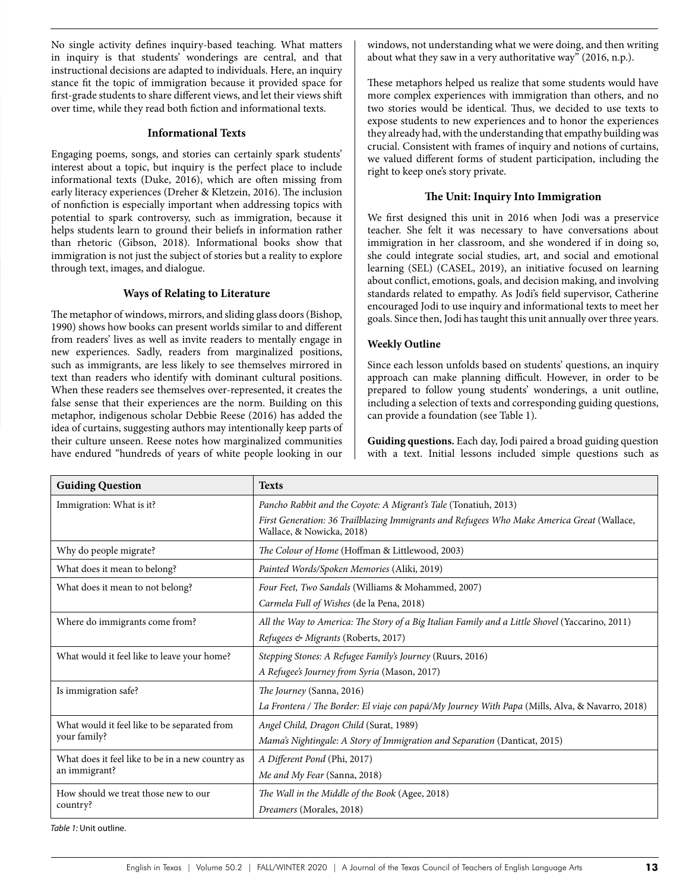No single activity defines inquiry-based teaching. What matters in inquiry is that students' wonderings are central, and that instructional decisions are adapted to individuals. Here, an inquiry stance fit the topic of immigration because it provided space for first-grade students to share different views, and let their views shift over time, while they read both fiction and informational texts.

#### **Informational Texts**

Engaging poems, songs, and stories can certainly spark students' interest about a topic, but inquiry is the perfect place to include informational texts (Duke, 2016), which are often missing from early literacy experiences (Dreher & Kletzein, 2016). The inclusion of nonfiction is especially important when addressing topics with potential to spark controversy, such as immigration, because it helps students learn to ground their beliefs in information rather than rhetoric (Gibson, 2018). Informational books show that immigration is not just the subject of stories but a reality to explore through text, images, and dialogue.

#### **Ways of Relating to Literature**

The metaphor of windows, mirrors, and sliding glass doors (Bishop, 1990) shows how books can present worlds similar to and different from readers' lives as well as invite readers to mentally engage in new experiences. Sadly, readers from marginalized positions, such as immigrants, are less likely to see themselves mirrored in text than readers who identify with dominant cultural positions. When these readers see themselves over-represented, it creates the false sense that their experiences are the norm. Building on this metaphor, indigenous scholar Debbie Reese (2016) has added the idea of curtains, suggesting authors may intentionally keep parts of their culture unseen. Reese notes how marginalized communities have endured "hundreds of years of white people looking in our

windows, not understanding what we were doing, and then writing about what they saw in a very authoritative way" (2016, n.p.).

These metaphors helped us realize that some students would have more complex experiences with immigration than others, and no two stories would be identical. Thus, we decided to use texts to expose students to new experiences and to honor the experiences they already had, with the understanding that empathy building was crucial. Consistent with frames of inquiry and notions of curtains, we valued different forms of student participation, including the right to keep one's story private.

#### **The Unit: Inquiry Into Immigration**

We first designed this unit in 2016 when Jodi was a preservice teacher. She felt it was necessary to have conversations about immigration in her classroom, and she wondered if in doing so, she could integrate social studies, art, and social and emotional learning (SEL) (CASEL, 2019), an initiative focused on learning about conflict, emotions, goals, and decision making, and involving standards related to empathy. As Jodi's field supervisor, Catherine encouraged Jodi to use inquiry and informational texts to meet her goals. Since then, Jodi has taught this unit annually over three years.

### **Weekly Outline**

Since each lesson unfolds based on students' questions, an inquiry approach can make planning difficult. However, in order to be prepared to follow young students' wonderings, a unit outline, including a selection of texts and corresponding guiding questions, can provide a foundation (see Table 1).

**Guiding questions.** Each day, Jodi paired a broad guiding question with a text. Initial lessons included simple questions such as

| <b>Guiding Question</b>                                           | <b>Texts</b>                                                                                                            |  |  |
|-------------------------------------------------------------------|-------------------------------------------------------------------------------------------------------------------------|--|--|
| Immigration: What is it?                                          | Pancho Rabbit and the Coyote: A Migrant's Tale (Tonatiuh, 2013)                                                         |  |  |
|                                                                   | First Generation: 36 Trailblazing Immigrants and Refugees Who Make America Great (Wallace,<br>Wallace, & Nowicka, 2018) |  |  |
| Why do people migrate?                                            | The Colour of Home (Hoffman & Littlewood, 2003)                                                                         |  |  |
| What does it mean to belong?                                      | Painted Words/Spoken Memories (Aliki, 2019)                                                                             |  |  |
| What does it mean to not belong?                                  | Four Feet, Two Sandals (Williams & Mohammed, 2007)                                                                      |  |  |
|                                                                   | Carmela Full of Wishes (de la Pena, 2018)                                                                               |  |  |
| Where do immigrants come from?                                    | All the Way to America: The Story of a Big Italian Family and a Little Shovel (Yaccarino, 2011)                         |  |  |
|                                                                   | Refugees & Migrants (Roberts, 2017)                                                                                     |  |  |
| What would it feel like to leave your home?                       | Stepping Stones: A Refugee Family's Journey (Ruurs, 2016)                                                               |  |  |
|                                                                   | A Refugee's Journey from Syria (Mason, 2017)                                                                            |  |  |
| Is immigration safe?                                              | The Journey (Sanna, 2016)                                                                                               |  |  |
|                                                                   | La Frontera / The Border: El viaje con papá/My Journey With Papa (Mills, Alva, & Navarro, 2018)                         |  |  |
| What would it feel like to be separated from<br>your family?      | Angel Child, Dragon Child (Surat, 1989)                                                                                 |  |  |
|                                                                   | Mama's Nightingale: A Story of Immigration and Separation (Danticat, 2015)                                              |  |  |
| What does it feel like to be in a new country as<br>an immigrant? | A Different Pond (Phi, 2017)                                                                                            |  |  |
|                                                                   | Me and My Fear (Sanna, 2018)                                                                                            |  |  |
| How should we treat those new to our<br>country?                  | The Wall in the Middle of the Book (Agee, 2018)                                                                         |  |  |
|                                                                   | Dreamers (Morales, 2018)                                                                                                |  |  |

*Table 1:* Unit outline.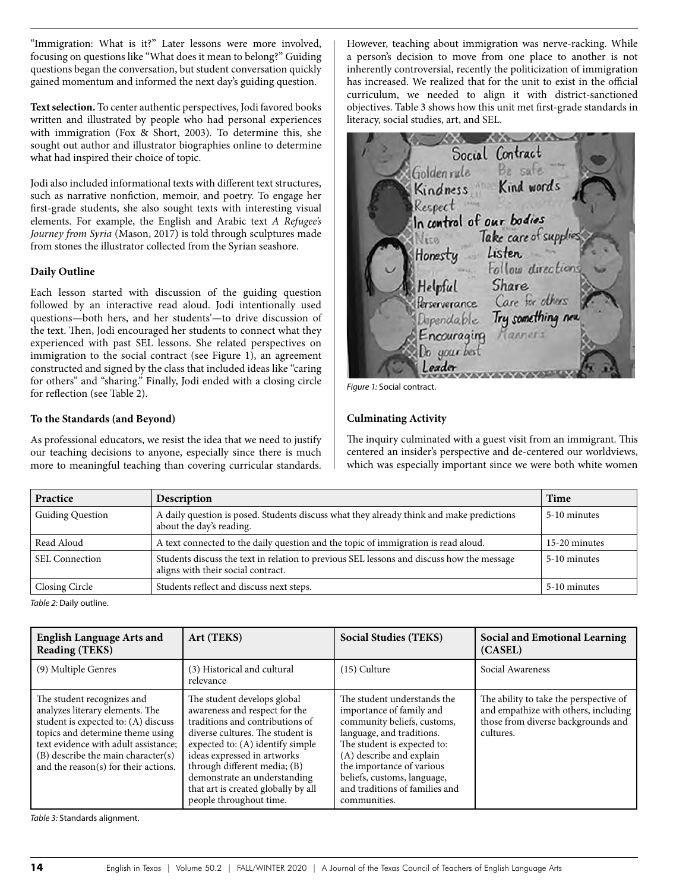"Immigration: What is it?" Later lessons were more involved, focusing on questions like "What does it mean to belong?" Guiding questions began the conversation, but student conversation quickly gained momentum and informed the next day's guiding question.

**Text selection.** To center authentic perspectives, Jodi favored books written and illustrated by people who had personal experiences with immigration (Fox & Short, 2003). To determine this, she sought out author and illustrator biographies online to determine what had inspired their choice of topic.

Jodi also included informational texts with different text structures, such as narrative nonfiction, memoir, and poetry. To engage her first-grade students, she also sought texts with interesting visual elements. For example, the English and Arabic text *A Refugee's Journey from Syria* (Mason, 2017) is told through sculptures made from stones the illustrator collected from the Syrian seashore.

### **Daily Outline**

Each lesson started with discussion of the guiding question followed by an interactive read aloud. Jodi intentionally used questions—both hers, and her students'—to drive discussion of the text. Then, Jodi encouraged her students to connect what they experienced with past SEL lessons. She related perspectives on immigration to the social contract (see Figure 1), an agreement constructed and signed by the class that included ideas like "caring for others" and "sharing." Finally, Jodi ended with a closing circle for reflection (see Table 2).

# **To the Standards (and Beyond)**

As professional educators, we resist the idea that we need to justify our teaching decisions to anyone, especially since there is much more to meaningful teaching than covering curricular standards. However, teaching about immigration was nerve-racking. While a person's decision to move from one place to another is not inherently controversial, recently the politicization of immigration has increased. We realized that for the unit to exist in the official curriculum, we needed to align it with district-sanctioned objectives. Table 3 shows how this unit met first-grade standards in literacy, social studies, art, and SEL.

Social Contract Be safe Goldenrule Kindness Kind words Respect in In control of our bodies Take care of suppl Nico Listen Honesty Follow direction: Share Helpful Perserverance Care for others Try something new Dependable Tanners Encouraging

*Figure 1:* Social contract.

# **Culminating Activity**

The inquiry culminated with a guest visit from an immigrant. This centered an insider's perspective and de-centered our worldviews, which was especially important since we were both white women

| Practice                | Description                                                                                                                     | Time          |
|-------------------------|---------------------------------------------------------------------------------------------------------------------------------|---------------|
| <b>Guiding Question</b> | A daily question is posed. Students discuss what they already think and make predictions<br>about the day's reading.            | 5-10 minutes  |
| Read Aloud              | A text connected to the daily question and the topic of immigration is read aloud.                                              | 15-20 minutes |
| SEL Connection          | Students discuss the text in relation to previous SEL lessons and discuss how the message<br>aligns with their social contract. | 5-10 minutes  |
| <b>Closing Circle</b>   | Students reflect and discuss next steps.                                                                                        | 5-10 minutes  |

*Table 2:* Daily outline.

| <b>English Language Arts and</b><br><b>Reading (TEKS)</b>                                                                                                                                                                                                      | Art (TEKS)                                                                                                                                                                                                                                                                                                                               | <b>Social Studies (TEKS)</b>                                                                                                                                                                                                                                                                 | Social and Emotional Learning<br>(CASEL)                                                                                          |
|----------------------------------------------------------------------------------------------------------------------------------------------------------------------------------------------------------------------------------------------------------------|------------------------------------------------------------------------------------------------------------------------------------------------------------------------------------------------------------------------------------------------------------------------------------------------------------------------------------------|----------------------------------------------------------------------------------------------------------------------------------------------------------------------------------------------------------------------------------------------------------------------------------------------|-----------------------------------------------------------------------------------------------------------------------------------|
| (9) Multiple Genres                                                                                                                                                                                                                                            | (3) Historical and cultural<br>relevance                                                                                                                                                                                                                                                                                                 | $(15)$ Culture                                                                                                                                                                                                                                                                               | Social Awareness                                                                                                                  |
| The student recognizes and<br>analyzes literary elements. The<br>student is expected to: (A) discuss<br>topics and determine theme using<br>text evidence with adult assistance;<br>(B) describe the main character(s)<br>and the reason(s) for their actions. | The student develops global<br>awareness and respect for the<br>traditions and contributions of<br>diverse cultures. The student is<br>expected to: (A) identify simple<br>ideas expressed in artworks<br>through different media; (B)<br>demonstrate an understanding<br>that art is created globally by all<br>people throughout time. | The student understands the<br>importance of family and<br>community beliefs, customs,<br>language, and traditions.<br>The student is expected to:<br>(A) describe and explain<br>the importance of various<br>beliefs, customs, language,<br>and traditions of families and<br>communities. | The ability to take the perspective of<br>and empathize with others, including<br>those from diverse backgrounds and<br>cultures. |

*Table 3:* Standards alignment.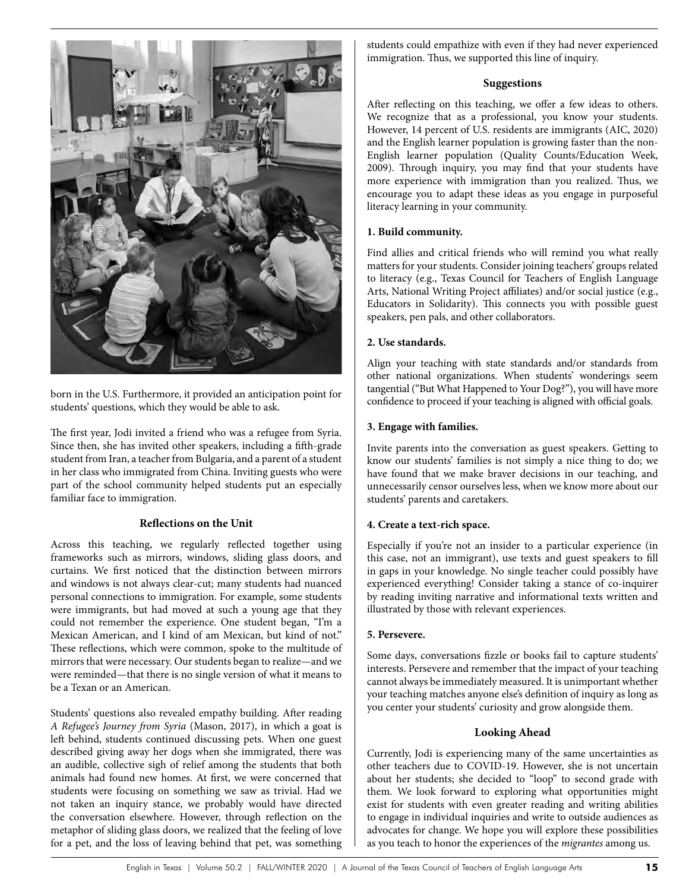

born in the U.S. Furthermore, it provided an anticipation point for students' questions, which they would be able to ask.

The first year, Jodi invited a friend who was a refugee from Syria. Since then, she has invited other speakers, including a fifth-grade student from Iran, a teacher from Bulgaria, and a parent of a student in her class who immigrated from China. Inviting guests who were part of the school community helped students put an especially familiar face to immigration.

# **Reflections on the Unit**

Across this teaching, we regularly reflected together using frameworks such as mirrors, windows, sliding glass doors, and curtains. We first noticed that the distinction between mirrors and windows is not always clear-cut; many students had nuanced personal connections to immigration. For example, some students were immigrants, but had moved at such a young age that they could not remember the experience. One student began, "I'm a Mexican American, and I kind of am Mexican, but kind of not." These reflections, which were common, spoke to the multitude of mirrors that were necessary. Our students began to realize—and we were reminded—that there is no single version of what it means to be a Texan or an American.

Students' questions also revealed empathy building. After reading *A Refugee's Journey from Syria* (Mason, 2017), in which a goat is left behind, students continued discussing pets. When one guest described giving away her dogs when she immigrated, there was an audible, collective sigh of relief among the students that both animals had found new homes. At first, we were concerned that students were focusing on something we saw as trivial. Had we not taken an inquiry stance, we probably would have directed the conversation elsewhere. However, through reflection on the metaphor of sliding glass doors, we realized that the feeling of love for a pet, and the loss of leaving behind that pet, was something

students could empathize with even if they had never experienced immigration. Thus, we supported this line of inquiry.

## **Suggestions**

After reflecting on this teaching, we offer a few ideas to others. We recognize that as a professional, you know your students. However, 14 percent of U.S. residents are immigrants (AIC, 2020) and the English learner population is growing faster than the non-English learner population (Quality Counts/Education Week, 2009). Through inquiry, you may find that your students have more experience with immigration than you realized. Thus, we encourage you to adapt these ideas as you engage in purposeful literacy learning in your community.

# **1. Build community.**

Find allies and critical friends who will remind you what really matters for your students. Consider joining teachers' groups related to literacy (e.g., Texas Council for Teachers of English Language Arts, National Writing Project affiliates) and/or social justice (e.g., Educators in Solidarity). This connects you with possible guest speakers, pen pals, and other collaborators.

# **2. Use standards.**

Align your teaching with state standards and/or standards from other national organizations. When students' wonderings seem tangential ("But What Happened to Your Dog?"), you will have more confidence to proceed if your teaching is aligned with official goals.

# **3. Engage with families.**

Invite parents into the conversation as guest speakers. Getting to know our students' families is not simply a nice thing to do; we have found that we make braver decisions in our teaching, and unnecessarily censor ourselves less, when we know more about our students' parents and caretakers.

# **4. Create a text-rich space.**

Especially if you're not an insider to a particular experience (in this case, not an immigrant), use texts and guest speakers to fill in gaps in your knowledge. No single teacher could possibly have experienced everything! Consider taking a stance of co-inquirer by reading inviting narrative and informational texts written and illustrated by those with relevant experiences.

### **5. Persevere.**

Some days, conversations fizzle or books fail to capture students' interests. Persevere and remember that the impact of your teaching cannot always be immediately measured. It is unimportant whether your teaching matches anyone else's definition of inquiry as long as you center your students' curiosity and grow alongside them.

### **Looking Ahead**

Currently, Jodi is experiencing many of the same uncertainties as other teachers due to COVID-19. However, she is not uncertain about her students; she decided to "loop" to second grade with them. We look forward to exploring what opportunities might exist for students with even greater reading and writing abilities to engage in individual inquiries and write to outside audiences as advocates for change. We hope you will explore these possibilities as you teach to honor the experiences of the *migrantes* among us.